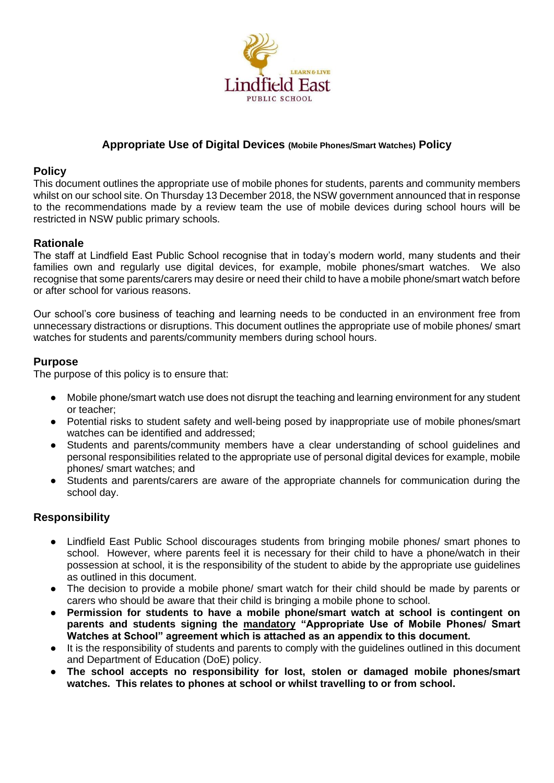

## **Appropriate Use of Digital Devices (Mobile Phones/Smart Watches) Policy**

#### **Policy**

This document outlines the appropriate use of mobile phones for students, parents and community members whilst on our school site. On Thursday 13 December 2018, the NSW government announced that in response to the recommendations made by a review team the use of mobile devices during school hours will be restricted in NSW public primary schools.

## **Rationale**

The staff at Lindfield East Public School recognise that in today's modern world, many students and their families own and regularly use digital devices, for example, mobile phones/smart watches. We also recognise that some parents/carers may desire or need their child to have a mobile phone/smart watch before or after school for various reasons.

Our school's core business of teaching and learning needs to be conducted in an environment free from unnecessary distractions or disruptions. This document outlines the appropriate use of mobile phones/ smart watches for students and parents/community members during school hours.

## **Purpose**

The purpose of this policy is to ensure that:

- Mobile phone/smart watch use does not disrupt the teaching and learning environment for any student or teacher;
- Potential risks to student safety and well-being posed by inappropriate use of mobile phones/smart watches can be identified and addressed;
- Students and parents/community members have a clear understanding of school guidelines and personal responsibilities related to the appropriate use of personal digital devices for example, mobile phones/ smart watches; and
- Students and parents/carers are aware of the appropriate channels for communication during the school day.

## **Responsibility**

- Lindfield East Public School discourages students from bringing mobile phones/ smart phones to school. However, where parents feel it is necessary for their child to have a phone/watch in their possession at school, it is the responsibility of the student to abide by the appropriate use guidelines as outlined in this document.
- The decision to provide a mobile phone/ smart watch for their child should be made by parents or carers who should be aware that their child is bringing a mobile phone to school.
- **Permission for students to have a mobile phone/smart watch at school is contingent on parents and students signing the mandatory "Appropriate Use of Mobile Phones/ Smart Watches at School" agreement which is attached as an appendix to this document.**
- It is the responsibility of students and parents to comply with the guidelines outlined in this document and Department of Education (DoE) policy.
- **The school accepts no responsibility for lost, stolen or damaged mobile phones/smart watches. This relates to phones at school or whilst travelling to or from school.**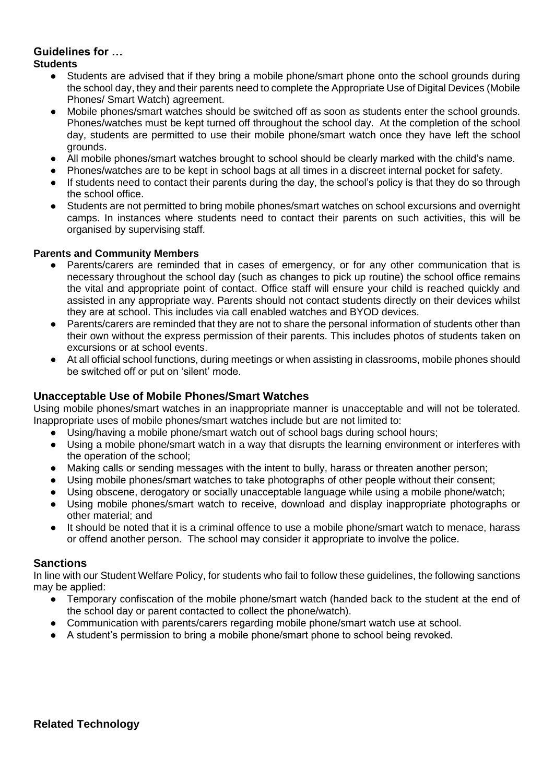# **Guidelines for …**

## **Students**

- Students are advised that if they bring a mobile phone/smart phone onto the school grounds during the school day, they and their parents need to complete the Appropriate Use of Digital Devices (Mobile Phones/ Smart Watch) agreement.
- Mobile phones/smart watches should be switched off as soon as students enter the school grounds. Phones/watches must be kept turned off throughout the school day. At the completion of the school day, students are permitted to use their mobile phone/smart watch once they have left the school grounds.
- All mobile phones/smart watches brought to school should be clearly marked with the child's name.
- Phones/watches are to be kept in school bags at all times in a discreet internal pocket for safety.
- If students need to contact their parents during the day, the school's policy is that they do so through the school office.
- Students are not permitted to bring mobile phones/smart watches on school excursions and overnight camps. In instances where students need to contact their parents on such activities, this will be organised by supervising staff.

## **Parents and Community Members**

- Parents/carers are reminded that in cases of emergency, or for any other communication that is necessary throughout the school day (such as changes to pick up routine) the school office remains the vital and appropriate point of contact. Office staff will ensure your child is reached quickly and assisted in any appropriate way. Parents should not contact students directly on their devices whilst they are at school. This includes via call enabled watches and BYOD devices.
- Parents/carers are reminded that they are not to share the personal information of students other than their own without the express permission of their parents. This includes photos of students taken on excursions or at school events.
- At all official school functions, during meetings or when assisting in classrooms, mobile phones should be switched off or put on 'silent' mode.

## **Unacceptable Use of Mobile Phones/Smart Watches**

Using mobile phones/smart watches in an inappropriate manner is unacceptable and will not be tolerated. Inappropriate uses of mobile phones/smart watches include but are not limited to:

- Using/having a mobile phone/smart watch out of school bags during school hours;
- Using a mobile phone/smart watch in a way that disrupts the learning environment or interferes with the operation of the school;
- Making calls or sending messages with the intent to bully, harass or threaten another person;
- Using mobile phones/smart watches to take photographs of other people without their consent;
- Using obscene, derogatory or socially unacceptable language while using a mobile phone/watch;
- Using mobile phones/smart watch to receive, download and display inappropriate photographs or other material; and
- It should be noted that it is a criminal offence to use a mobile phone/smart watch to menace, harass or offend another person. The school may consider it appropriate to involve the police.

#### **Sanctions**

In line with our Student Welfare Policy, for students who fail to follow these guidelines, the following sanctions may be applied:

- Temporary confiscation of the mobile phone/smart watch (handed back to the student at the end of the school day or parent contacted to collect the phone/watch).
- Communication with parents/carers regarding mobile phone/smart watch use at school.
- A student's permission to bring a mobile phone/smart phone to school being revoked.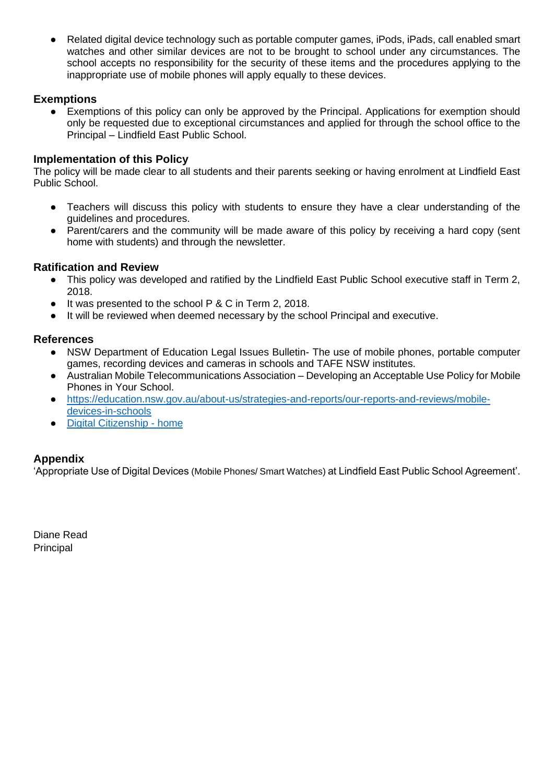Related digital device technology such as portable computer games, iPods, iPads, call enabled smart watches and other similar devices are not to be brought to school under any circumstances. The school accepts no responsibility for the security of these items and the procedures applying to the inappropriate use of mobile phones will apply equally to these devices.

## **Exemptions**

Exemptions of this policy can only be approved by the Principal. Applications for exemption should only be requested due to exceptional circumstances and applied for through the school office to the Principal – Lindfield East Public School.

## **Implementation of this Policy**

The policy will be made clear to all students and their parents seeking or having enrolment at Lindfield East Public School.

- Teachers will discuss this policy with students to ensure they have a clear understanding of the guidelines and procedures.
- Parent/carers and the community will be made aware of this policy by receiving a hard copy (sent home with students) and through the newsletter.

#### **Ratification and Review**

- This policy was developed and ratified by the Lindfield East Public School executive staff in Term 2, 2018.
- It was presented to the school P & C in Term 2, 2018.
- It will be reviewed when deemed necessary by the school Principal and executive.

## **References**

- NSW Department of Education Legal Issues Bulletin- The use of mobile phones, portable computer games, recording devices and cameras in schools and TAFE NSW institutes.
- Australian Mobile Telecommunications Association Developing an Acceptable Use Policy for Mobile Phones in Your School.
- [https://education.nsw.gov.au/about-us/strategies-and-reports/our-reports-and-reviews/mobile](https://education.nsw.gov.au/about-us/strategies-and-reports/our-reports-and-reviews/mobile-devices-in-schools)[devices-in-schools](https://education.nsw.gov.au/about-us/strategies-and-reports/our-reports-and-reviews/mobile-devices-in-schools)
- [Digital Citizenship -](https://www.digitalcitizenship.nsw.edu.au/) home

## **Appendix**

'Appropriate Use of Digital Devices (Mobile Phones/ Smart Watches) at Lindfield East Public School Agreement'.

Diane Read Principal